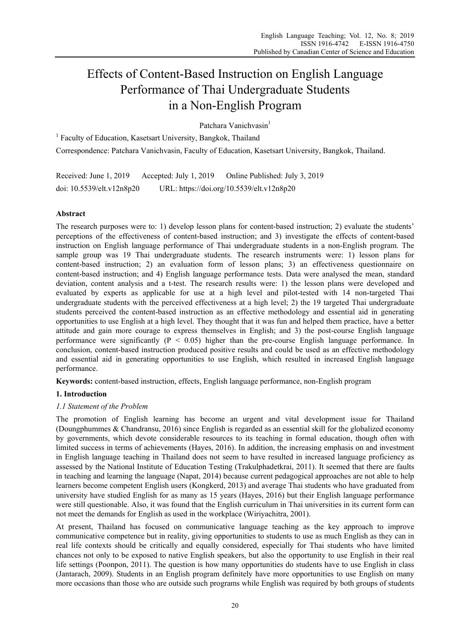# Effects of Content-Based Instruction on English Language Performance of Thai Undergraduate Students in a Non-English Program

Patchara Vanichvasin<sup>1</sup>

<sup>1</sup> Faculty of Education, Kasetsart University, Bangkok, Thailand Correspondence: Patchara Vanichvasin, Faculty of Education, Kasetsart University, Bangkok, Thailand.

Received: June 1, 2019 Accepted: July 1, 2019 Online Published: July 3, 2019 doi: 10.5539/elt.v12n8p20 URL: https://doi.org/10.5539/elt.v12n8p20

## **Abstract**

The research purposes were to: 1) develop lesson plans for content-based instruction; 2) evaluate the students' perceptions of the effectiveness of content-based instruction; and 3) investigate the effects of content-based instruction on English language performance of Thai undergraduate students in a non-English program. The sample group was 19 Thai undergraduate students. The research instruments were: 1) lesson plans for content-based instruction; 2) an evaluation form of lesson plans; 3) an effectiveness questionnaire on content-based instruction; and 4) English language performance tests. Data were analysed the mean, standard deviation, content analysis and a t-test. The research results were: 1) the lesson plans were developed and evaluated by experts as applicable for use at a high level and pilot-tested with 14 non-targeted Thai undergraduate students with the perceived effectiveness at a high level; 2) the 19 targeted Thai undergraduate students perceived the content-based instruction as an effective methodology and essential aid in generating opportunities to use English at a high level. They thought that it was fun and helped them practice, have a better attitude and gain more courage to express themselves in English; and 3) the post-course English language performance were significantly  $(P < 0.05)$  higher than the pre-course English language performance. In conclusion, content-based instruction produced positive results and could be used as an effective methodology and essential aid in generating opportunities to use English, which resulted in increased English language performance.

**Keywords:** content-based instruction, effects, English language performance, non-English program

## **1. Introduction**

## *1.1 Statement of the Problem*

The promotion of English learning has become an urgent and vital development issue for Thailand (Doungphummes & Chandransu, 2016) since English is regarded as an essential skill for the globalized economy by governments, which devote considerable resources to its teaching in formal education, though often with limited success in terms of achievements (Hayes, 2016). In addition, the increasing emphasis on and investment in English language teaching in Thailand does not seem to have resulted in increased language proficiency as assessed by the National Institute of Education Testing (Trakulphadetkrai, 2011). It seemed that there are faults in teaching and learning the language (Napat, 2014) because current pedagogical approaches are not able to help learners become competent English users (Kongkerd, 2013) and average Thai students who have graduated from university have studied English for as many as 15 years (Hayes, 2016) but their English language performance were still questionable. Also, it was found that the English curriculum in Thai universities in its current form can not meet the demands for English as used in the workplace (Wiriyachitra, 2001).

At present, Thailand has focused on communicative language teaching as the key approach to improve communicative competence but in reality, giving opportunities to students to use as much English as they can in real life contexts should be critically and equally considered, especially for Thai students who have limited chances not only to be exposed to native English speakers, but also the opportunity to use English in their real life settings (Poonpon, 2011). The question is how many opportunities do students have to use English in class (Jantarach, 2009). Students in an English program definitely have more opportunities to use English on many more occasions than those who are outside such programs while English was required by both groups of students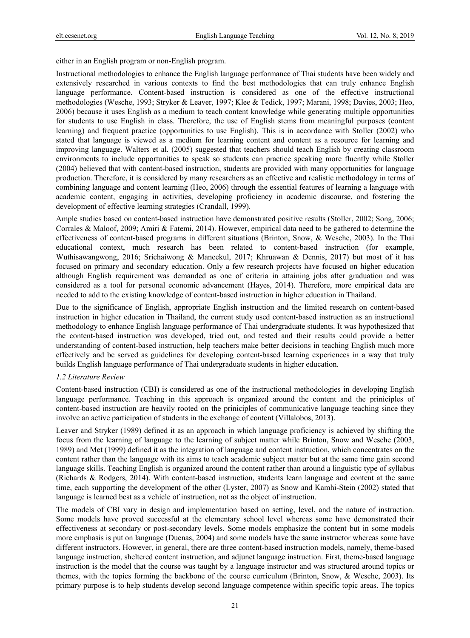either in an English program or non-English program.

Instructional methodologies to enhance the English language performance of Thai students have been widely and extensively researched in various contexts to find the best methodologies that can truly enhance English language performance. Content-based instruction is considered as one of the effective instructional methodologies (Wesche, 1993; Stryker & Leaver, 1997; Klee & Tedick, 1997; Marani, 1998; Davies, 2003; Heo, 2006) because it uses English as a medium to teach content knowledge while generating multiple opportunities for students to use English in class. Therefore, the use of English stems from meaningful purposes (content learning) and frequent practice (opportunities to use English). This is in accordance with Stoller (2002) who stated that language is viewed as a medium for learning content and content as a resource for learning and improving language. Walters et al. (2005) suggested that teachers should teach English by creating classroom environments to include opportunities to speak so students can practice speaking more fluently while Stoller (2004) believed that with content-based instruction, students are provided with many opportunities for language production. Therefore, it is considered by many researchers as an effective and realistic methodology in terms of combining language and content learning (Heo, 2006) through the essential features of learning a language with academic content, engaging in activities, developing proficiency in academic discourse, and fostering the development of effective learning strategies (Crandall, 1999).

Ample studies based on content-based instruction have demonstrated positive results (Stoller, 2002; Song, 2006; Corrales & Maloof, 2009; Amiri & Fatemi, 2014). However, empirical data need to be gathered to determine the effectiveness of content-based programs in different situations (Brinton, Snow, & Wesche, 2003). In the Thai educational context, much research has been related to content-based instruction (for example, Wuthisawangwong, 2016; Srichaiwong & Maneekul, 2017; Khruawan & Dennis, 2017) but most of it has focused on primary and secondary education. Only a few research projects have focused on higher education although English requirement was demanded as one of criteria in attaining jobs after graduation and was considered as a tool for personal economic advancement (Hayes, 2014). Therefore, more empirical data are needed to add to the existing knowledge of content-based instruction in higher education in Thailand.

Due to the significance of English, appropriate English instruction and the limited research on content-based instruction in higher education in Thailand, the current study used content-based instruction as an instructional methodology to enhance English language performance of Thai undergraduate students. It was hypothesized that the content-based instruction was developed, tried out, and tested and their results could provide a better understanding of content-based instruction, help teachers make better decisions in teaching English much more effectively and be served as guidelines for developing content-based learning experiences in a way that truly builds English language performance of Thai undergraduate students in higher education.

#### *1.2 Literature Review*

Content-based instruction (CBI) is considered as one of the instructional methodologies in developing English language performance. Teaching in this approach is organized around the content and the priniciples of content-based instruction are heavily rooted on the priniciples of communicative language teaching since they involve an active participation of students in the exchange of content (Villalobos, 2013).

Leaver and Stryker (1989) defined it as an approach in which language proficiency is achieved by shifting the focus from the learning of language to the learning of subject matter while Brinton, Snow and Wesche (2003, 1989) and Met (1999) defined it as the integration of language and content instruction, which concentrates on the content rather than the language with its aims to teach academic subject matter but at the same time gain second language skills. Teaching English is organized around the content rather than around a linguistic type of syllabus (Richards & Rodgers, 2014). With content-based instruction, students learn language and content at the same time, each supporting the development of the other (Lyster, 2007) as Snow and Kamhi-Stein (2002) stated that language is learned best as a vehicle of instruction, not as the object of instruction.

The models of CBI vary in design and implementation based on setting, level, and the nature of instruction. Some models have proved successful at the elementary school level whereas some have demonstrated their effectiveness at secondary or post-secondary levels. Some models emphasize the content but in some models more emphasis is put on language (Duenas, 2004) and some models have the same instructor whereas some have different instructors. However, in general, there are three content-based instruction models, namely, theme-based language instruction, sheltered content instruction, and adjunct language instruction. First, theme-based language instruction is the model that the course was taught by a language instructor and was structured around topics or themes, with the topics forming the backbone of the course curriculum (Brinton, Snow, & Wesche, 2003). Its primary purpose is to help students develop second language competence within specific topic areas. The topics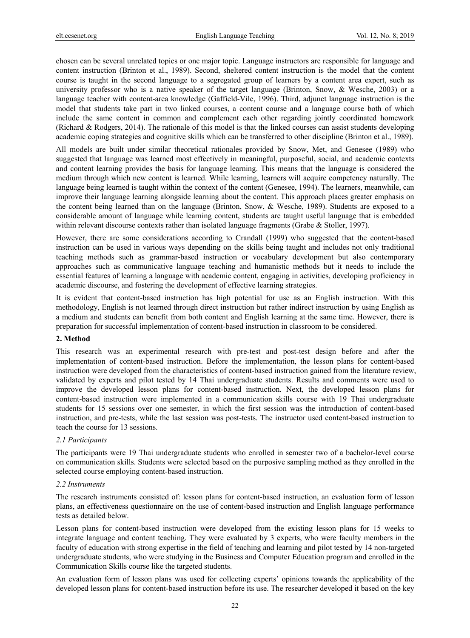chosen can be several unrelated topics or one major topic. Language instructors are responsible for language and content instruction (Brinton et al., 1989). Second, sheltered content instruction is the model that the content course is taught in the second language to a segregated group of learners by a content area expert, such as university professor who is a native speaker of the target language (Brinton, Snow, & Wesche, 2003) or a language teacher with content-area knowledge (Gaffield-Vile, 1996). Third, adjunct language instruction is the model that students take part in two linked courses, a content course and a language course both of which include the same content in common and complement each other regarding jointly coordinated homework (Richard & Rodgers, 2014). The rationale of this model is that the linked courses can assist students developing academic coping strategies and cognitive skills which can be transferred to other discipline (Brinton et al., 1989).

All models are built under similar theoretical rationales provided by Snow, Met, and Genesee (1989) who suggested that language was learned most effectively in meaningful, purposeful, social, and academic contexts and content learning provides the basis for language learning. This means that the language is considered the medium through which new content is learned. While learning, learners will acquire competency naturally. The language being learned is taught within the context of the content (Genesee, 1994). The learners, meanwhile, can improve their language learning alongside learning about the content. This approach places greater emphasis on the content being learned than on the language (Brinton, Snow, & Wesche, 1989). Students are exposed to a considerable amount of language while learning content, students are taught useful language that is embedded within relevant discourse contexts rather than isolated language fragments (Grabe & Stoller, 1997).

However, there are some considerations according to Crandall (1999) who suggested that the content-based instruction can be used in various ways depending on the skills being taught and includes not only traditional teaching methods such as grammar-based instruction or vocabulary development but also contemporary approaches such as communicative language teaching and humanistic methods but it needs to include the essential features of learning a language with academic content, engaging in activities, developing proficiency in academic discourse, and fostering the development of effective learning strategies.

It is evident that content-based instruction has high potential for use as an English instruction. With this methodology, English is not learned through direct instruction but rather indirect instruction by using English as a medium and students can benefit from both content and English learning at the same time. However, there is preparation for successful implementation of content-based instruction in classroom to be considered.

## **2. Method**

This research was an experimental research with pre-test and post-test design before and after the implementation of content-based instruction. Before the implementation, the lesson plans for content-based instruction were developed from the characteristics of content-based instruction gained from the literature review, validated by experts and pilot tested by 14 Thai undergraduate students. Results and comments were used to improve the developed lesson plans for content-based instruction. Next, the developed lesson plans for content-based instruction were implemented in a communication skills course with 19 Thai undergraduate students for 15 sessions over one semester, in which the first session was the introduction of content-based instruction, and pre-tests, while the last session was post-tests. The instructor used content-based instruction to teach the course for 13 sessions.

## *2.1 Participants*

The participants were 19 Thai undergraduate students who enrolled in semester two of a bachelor-level course on communication skills. Students were selected based on the purposive sampling method as they enrolled in the selected course employing content-based instruction.

#### *2.2 Instruments*

The research instruments consisted of: lesson plans for content-based instruction, an evaluation form of lesson plans, an effectiveness questionnaire on the use of content-based instruction and English language performance tests as detailed below.

Lesson plans for content-based instruction were developed from the existing lesson plans for 15 weeks to integrate language and content teaching. They were evaluated by 3 experts, who were faculty members in the faculty of education with strong expertise in the field of teaching and learning and pilot tested by 14 non-targeted undergraduate students, who were studying in the Business and Computer Education program and enrolled in the Communication Skills course like the targeted students.

An evaluation form of lesson plans was used for collecting experts' opinions towards the applicability of the developed lesson plans for content-based instruction before its use. The researcher developed it based on the key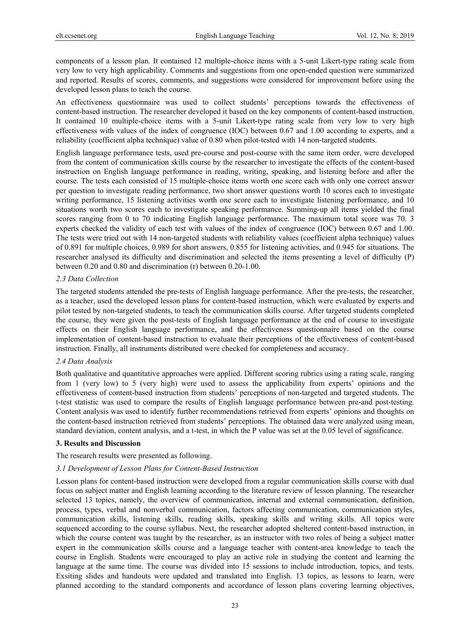components of a lesson plan. It contained 12 multiple-choice items with a 5-unit Likert-type rating scale from very low to very high applicability. Comments and suggestions from one open-ended question were summarized and reported. Results of scores, comments, and suggestions were considered for improvement before using the developed lesson plans to teach the course.

An effectiveness questionnaire was used to collect students' perceptions towards the effectiveness of content-based instruction. The researcher developed it based on the key components of content-based instruction. It contained 10 multiple-choice items with a 5-unit Likert-type rating scale from very low to very high effectiveness with values of the index of congruence (IOC) between 0.67 and 1.00 according to experts, and a reliability (coefficient alpha technique) value of 0.80 when pilot-tested with 14 non-targeted students.

English language performance tests, used pre-course and post-course with the same item order, were developed from the content of communication skills course by the researcher to investigate the effects of the content-based instruction on English language performance in reading, writing, speaking, and listening before and after the course. The tests each consisted of 15 multiple-choice items worth one score each with only one correct answer per question to investigate reading performance, two short answer questions worth 10 scores each to investigate writing performance, 15 listening activities worth one score each to investigate listening performance, and 10 situations worth two scores each to investigate speaking performance. Summing-up all items yielded the final scores ranging from 0 to 70 indicating English language performance. The maximum total score was 70. 3 experts checked the validity of each test with values of the index of congruence (IOC) between 0.67 and 1.00. The tests were tried out with 14 non-targeted students with reliability values (coefficient alpha technique) values of 0.891 for multiple choices, 0.989 for short answers, 0.855 for listening activities, and 0.945 for situations. The researcher analysed its difficulty and discrimination and selected the items presenting a level of difficulty (P) between 0.20 and 0.80 and discrimination (r) between 0.20-1.00.

#### *2.3 Data Collection*

The targeted students attended the pre-tests of English language performance. After the pre-tests, the researcher, as a teacher, used the developed lesson plans for content-based instruction, which were evaluated by experts and pilot tested by non-targeted students, to teach the communication skills course. After targeted students completed the course, they were given the post-tests of English language performance at the end of course to investigate effects on their English language performance, and the effectiveness questionnaire based on the course implementation of content-based instruction to evaluate their perceptions of the effectiveness of content-based instruction. Finally, all instruments distributed were checked for completeness and accuracy.

## *2.4 Data Analysis*

Both qualitative and quantitative approaches were applied. Different scoring rubrics using a rating scale, ranging from 1 (very low) to 5 (very high) were used to assess the applicability from experts' opinions and the effectiveness of content-based instruction from students' perceptions of non-targeted and targeted students. The t-test statistic was used to compare the results of English language performance between pre-and post-testing. Content analysis was used to identify further recommendations retrieved from experts' opinions and thoughts on the content-based instruction retrieved from students' perceptions. The obtained data were analyzed using mean, standard deviation, content analysis, and a t-test, in which the P value was set at the 0.05 level of significance.

## **3. Results and Discussion**

The research results were presented as following.

#### *3.1 Development of Lesson Plans for Content-Based Instruction*

Lesson plans for content-based instruction were developed from a regular communication skills course with dual focus on subject matter and English learning according to the literature review of lesson planning. The researcher selected 13 topics, namely, the overview of communication, internal and external communication, definition, process, types, verbal and nonverbal communication, factors affecting communication, communication styles, communication skills, listening skills, reading skills, speaking skills and writing skills. All topics were sequenced according to the course syllabus. Next, the researcher adopted sheltered content-based instruction, in which the course content was taught by the researcher, as an instructor with two roles of being a subject matter expert in the communication skills course and a language teacher with content-area knowledge to teach the course in English. Students were encouraged to play an active role in studying the content and learning the language at the same time. The course was divided into 15 sessions to include introduction, topics, and tests. Exsiting slides and handouts were updated and translated into English. 13 topics, as lessons to learn, were planned according to the standard components and accordance of lesson plans covering learning objectives,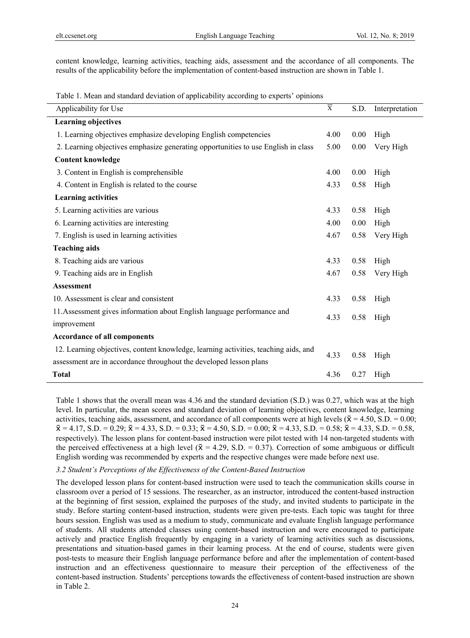content knowledge, learning activities, teaching aids, assessment and the accordance of all components. The results of the applicability before the implementation of content-based instruction are shown in Table 1.

Table 1. Mean and standard deviation of applicability according to experts' opinions

| Applicability for Use                                                               | X    | S.D. | Interpretation |
|-------------------------------------------------------------------------------------|------|------|----------------|
| <b>Learning objectives</b>                                                          |      |      |                |
| 1. Learning objectives emphasize developing English competencies                    | 4.00 | 0.00 | High           |
| 2. Learning objectives emphasize generating opportunities to use English in class   | 5.00 | 0.00 | Very High      |
| <b>Content knowledge</b>                                                            |      |      |                |
| 3. Content in English is comprehensible                                             | 4.00 | 0.00 | High           |
| 4. Content in English is related to the course                                      | 4.33 | 0.58 | High           |
| <b>Learning activities</b>                                                          |      |      |                |
| 5. Learning activities are various                                                  | 4.33 | 0.58 | High           |
| 6. Learning activities are interesting                                              | 4.00 | 0.00 | High           |
| 7. English is used in learning activities                                           | 4.67 | 0.58 | Very High      |
| <b>Teaching aids</b>                                                                |      |      |                |
| 8. Teaching aids are various                                                        | 4.33 | 0.58 | High           |
| 9. Teaching aids are in English                                                     | 4.67 | 0.58 | Very High      |
| <b>Assessment</b>                                                                   |      |      |                |
| 10. Assessment is clear and consistent                                              | 4.33 | 0.58 | High           |
| 11. Assessment gives information about English language performance and             |      |      |                |
| improvement                                                                         | 4.33 | 0.58 | High           |
| <b>Accordance of all components</b>                                                 |      |      |                |
| 12. Learning objectives, content knowledge, learning activities, teaching aids, and | 4.33 | 0.58 |                |
| assessment are in accordance throughout the developed lesson plans                  |      |      | High           |
| <b>Total</b>                                                                        | 4.36 | 0.27 | High           |

Table 1 shows that the overall mean was 4.36 and the standard deviation (S.D.) was 0.27, which was at the high level. In particular, the mean scores and standard deviation of learning objectives, content knowledge, learning activities, teaching aids, assessment, and accordance of all components were at high levels ( $\bar{x} = 4.50$ , S.D. = 0.00;  $\bar{x} = 4.17$ , S.D. = 0.29;  $\bar{x} = 4.33$ , S.D. = 0.33;  $\bar{x} = 4.50$ , S.D. = 0.00;  $\bar{x} = 4.33$ , S.D. = 0.58;  $\bar{x} = 4.33$ , S.D. = 0.58, respectively). The lesson plans for content-based instruction were pilot tested with 14 non-targeted students with the perceived effectiveness at a high level ( $\bar{x} = 4.29$ , S.D. = 0.37). Correction of some ambiguous or difficult English wording was recommended by experts and the respective changes were made before next use.

#### *3.2 Student's Perceptions of the Effectiveness of the Content-Based Instruction*

The developed lesson plans for content-based instruction were used to teach the communication skills course in classroom over a period of 15 sessions. The researcher, as an instructor, introduced the content-based instruction at the beginning of first session, explained the purposes of the study, and invited students to participate in the study. Before starting content-based instruction, students were given pre-tests. Each topic was taught for three hours session. English was used as a medium to study, communicate and evaluate English language performance of students. All students attended classes using content-based instruction and were encouraged to participate actively and practice English frequently by engaging in a variety of learning activities such as discussions, presentations and situation-based games in their learning process. At the end of course, students were given post-tests to measure their English language performance before and after the implementation of content-based instruction and an effectiveness questionnaire to measure their perception of the effectiveness of the content-based instruction. Students' perceptions towards the effectiveness of content-based instruction are shown in Table 2.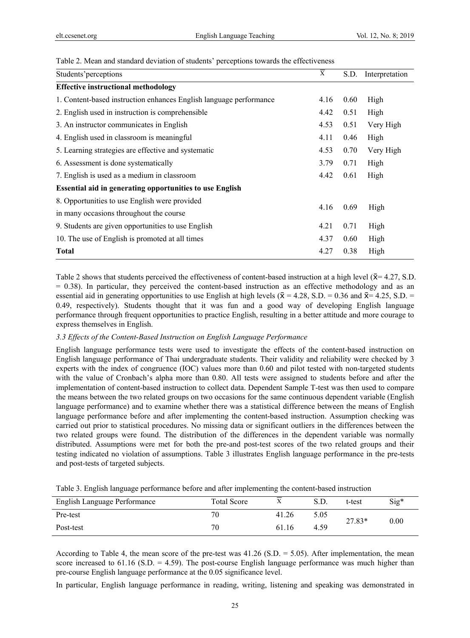| Students' perceptions                                              | $\overline{\overline{X}}$ | S.D. | Interpretation |
|--------------------------------------------------------------------|---------------------------|------|----------------|
| <b>Effective instructional methodology</b>                         |                           |      |                |
| 1. Content-based instruction enhances English language performance | 4.16                      | 0.60 | High           |
| 2. English used in instruction is comprehensible                   | 4.42                      | 0.51 | High           |
| 3. An instructor communicates in English                           | 4.53                      | 0.51 | Very High      |
| 4. English used in classroom is meaningful                         | 4.11                      | 0.46 | High           |
| 5. Learning strategies are effective and systematic                | 4.53                      | 0.70 | Very High      |
| 6. Assessment is done systematically                               | 3.79                      | 0.71 | High           |
| 7. English is used as a medium in classroom                        | 4.42                      | 0.61 | High           |
| <b>Essential aid in generating opportunities to use English</b>    |                           |      |                |
| 8. Opportunities to use English were provided                      |                           |      |                |
| in many occasions throughout the course                            | 4.16                      | 0.69 | High           |
| 9. Students are given opportunities to use English                 | 4.21                      | 0.71 | High           |
| 10. The use of English is promoted at all times                    | 4.37                      | 0.60 | High           |
| <b>Total</b>                                                       | 4.27                      | 0.38 | High           |
|                                                                    |                           |      |                |

Table 2. Mean and standard deviation of students' perceptions towards the effectiveness

Table 2 shows that students perceived the effectiveness of content-based instruction at a high level ( $\bar{x}$ = 4.27, S.D.  $= 0.38$ ). In particular, they perceived the content-based instruction as an effective methodology and as an essential aid in generating opportunities to use English at high levels ( $\bar{x} = 4.28$ , S.D. = 0.36 and  $\bar{x} = 4.25$ , S.D. = 0.49, respectively). Students thought that it was fun and a good way of developing English language performance through frequent opportunities to practice English, resulting in a better attitude and more courage to express themselves in English.

## *3.3 Effects of the Content-Based Instruction on English Language Performance*

English language performance tests were used to investigate the effects of the content-based instruction on English language performance of Thai undergraduate students. Their validity and reliability were checked by 3 experts with the index of congruence (IOC) values more than 0.60 and pilot tested with non-targeted students with the value of Cronbach's alpha more than 0.80. All tests were assigned to students before and after the implementation of content-based instruction to collect data. Dependent Sample T-test was then used to compare the means between the two related groups on two occasions for the same continuous dependent variable (English language performance) and to examine whether there was a statistical difference between the means of English language performance before and after implementing the content-based instruction. Assumption checking was carried out prior to statistical procedures. No missing data or significant outliers in the differences between the two related groups were found. The distribution of the differences in the dependent variable was normally distributed. Assumptions were met for both the pre-and post-test scores of the two related groups and their testing indicated no violation of assumptions. Table 3 illustrates English language performance in the pre-tests and post-tests of targeted subjects.

|  |  | Table 3. English language performance before and after implementing the content-based instruction |  |
|--|--|---------------------------------------------------------------------------------------------------|--|
|  |  |                                                                                                   |  |

| English Language Performance | <b>Total Score</b> |       | S.D. | t-test   | $Sig*$ |
|------------------------------|--------------------|-------|------|----------|--------|
| Pre-test                     | 70                 | 41.26 | 5.05 | $27.83*$ | 0.00   |
| Post-test                    | 70                 | 61.16 | 4.59 |          |        |

According to Table 4, the mean score of the pre-test was  $41.26$  (S.D. = 5.05). After implementation, the mean score increased to  $61.16$  (S.D. = 4.59). The post-course English language performance was much higher than pre-course English language performance at the 0.05 significance level.

In particular, English language performance in reading, writing, listening and speaking was demonstrated in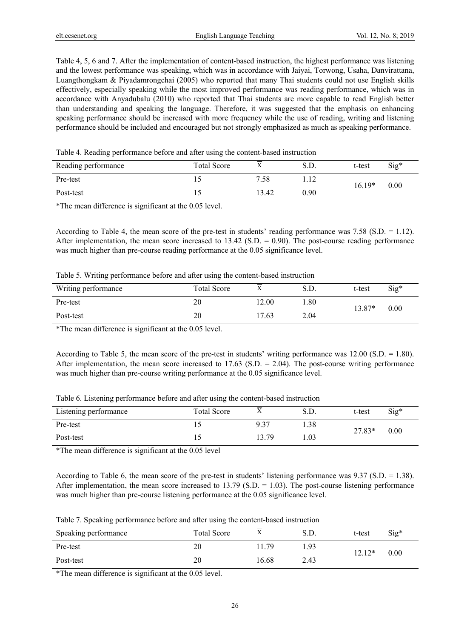Table 4, 5, 6 and 7. After the implementation of content-based instruction, the highest performance was listening and the lowest performance was speaking, which was in accordance with Jaiyai, Torwong, Usaha, Danvirattana, Luangthongkam & Piyadamrongchai (2005) who reported that many Thai students could not use English skills effectively, especially speaking while the most improved performance was reading performance, which was in accordance with Anyadubalu (2010) who reported that Thai students are more capable to read English better than understanding and speaking the language. Therefore, it was suggested that the emphasis on enhancing speaking performance should be increased with more frequency while the use of reading, writing and listening performance should be included and encouraged but not strongly emphasized as much as speaking performance.

| Table 4. Reading performance before and after using the content-based instruction |
|-----------------------------------------------------------------------------------|
|-----------------------------------------------------------------------------------|

| Reading performance | <b>Total Score</b> |       | S.D. | t-test   | $Sig*$ |
|---------------------|--------------------|-------|------|----------|--------|
| Pre-test            |                    | 7.58  | .    | $16.19*$ | 0.00   |
| Post-test           |                    | 13.42 | 0.90 |          |        |

\*The mean difference is significant at the 0.05 level.

According to Table 4, the mean score of the pre-test in students' reading performance was 7.58 (S.D. = 1.12). After implementation, the mean score increased to  $13.42$  (S.D. = 0.90). The post-course reading performance was much higher than pre-course reading performance at the 0.05 significance level.

|  |  |  | Table 5. Writing performance before and after using the content-based instruction |  |
|--|--|--|-----------------------------------------------------------------------------------|--|
|  |  |  |                                                                                   |  |

| Writing performance | <b>Total Score</b> |       | S.D. | t-test   | $Sig^*$ |
|---------------------|--------------------|-------|------|----------|---------|
| Pre-test            | 20                 | 12.00 | . 80 | $13.87*$ | 0.00    |
| Post-test           | 20                 | 17.63 | 2.04 |          |         |

\*The mean difference is significant at the 0.05 level.

According to Table 5, the mean score of the pre-test in students' writing performance was 12.00 (S.D. = 1.80). After implementation, the mean score increased to  $17.63$  (S.D.  $= 2.04$ ). The post-course writing performance was much higher than pre-course writing performance at the 0.05 significance level.

| Table 6. Listening performance before and after using the content-based instruction |  |  |  |
|-------------------------------------------------------------------------------------|--|--|--|
|                                                                                     |  |  |  |

| Listening performance | Total Score | ∡     | S.D. | t-test   | Sig* |
|-----------------------|-------------|-------|------|----------|------|
| Pre-test              |             | 9.37  | 1.38 | $27.83*$ |      |
| Post-test             |             | 13.79 | 1.03 |          | 0.00 |

\*The mean difference is significant at the 0.05 level

According to Table 6, the mean score of the pre-test in students' listening performance was 9.37 (S.D. = 1.38). After implementation, the mean score increased to  $13.79$  (S.D.  $= 1.03$ ). The post-course listening performance was much higher than pre-course listening performance at the 0.05 significance level.

Table 7. Speaking performance before and after using the content-based instruction

| Speaking performance | <b>Total Score</b> | $\mathbf{v}$<br>Λ | S.D. | t-test | Sig* |
|----------------------|--------------------|-------------------|------|--------|------|
| Pre-test             | 20                 | 11.79             | 1.93 | 12.12* | 0.00 |
| Post-test            | 20                 | 16.68             | 2.43 |        |      |

\*The mean difference is significant at the 0.05 level.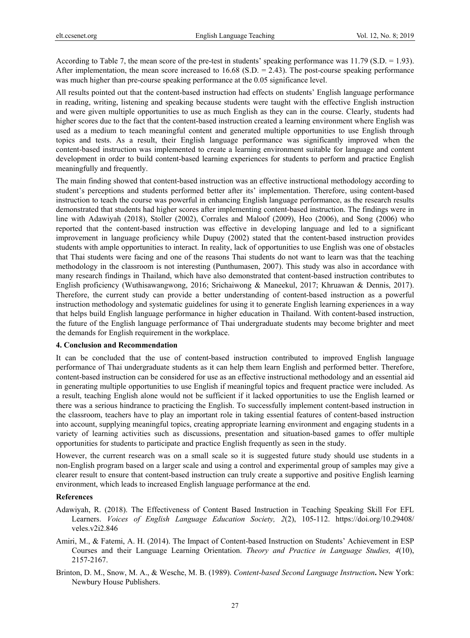According to Table 7, the mean score of the pre-test in students' speaking performance was 11.79 (S.D. = 1.93). After implementation, the mean score increased to  $16.68$  (S.D.  $= 2.43$ ). The post-course speaking performance was much higher than pre-course speaking performance at the 0.05 significance level.

All results pointed out that the content-based instruction had effects on students' English language performance in reading, writing, listening and speaking because students were taught with the effective English instruction and were given multiple opportunities to use as much English as they can in the course. Clearly, students had higher scores due to the fact that the content-based instruction created a learning environment where English was used as a medium to teach meaningful content and generated multiple opportunities to use English through topics and tests. As a result, their English language performance was significantly improved when the content-based instruction was implemented to create a learning environment suitable for language and content development in order to build content-based learning experiences for students to perform and practice English meaningfully and frequently.

The main finding showed that content-based instruction was an effective instructional methodology according to student's perceptions and students performed better after its' implementation. Therefore, using content-based instruction to teach the course was powerful in enhancing English language performance, as the research results demonstrated that students had higher scores after implementing content-based instruction. The findings were in line with Adawiyah (2018), Stoller (2002), Corrales and Maloof (2009), Heo (2006), and Song (2006) who reported that the content-based instruction was effective in developing language and led to a significant improvement in language proficiency while Dupuy (2002) stated that the content-based instruction provides students with ample opportunities to interact. In reality, lack of opportunities to use English was one of obstacles that Thai students were facing and one of the reasons Thai students do not want to learn was that the teaching methodology in the classroom is not interesting (Punthumasen, 2007). This study was also in accordance with many research findings in Thailand, which have also demonstrated that content-based instruction contributes to English proficiency (Wuthisawangwong, 2016; Srichaiwong & Maneekul, 2017; Khruawan & Dennis, 2017). Therefore, the current study can provide a better understanding of content-based instruction as a powerful instruction methodology and systematic guidelines for using it to generate English learning experiences in a way that helps build English language performance in higher education in Thailand. With content-based instruction, the future of the English language performance of Thai undergraduate students may become brighter and meet the demands for English requirement in the workplace.

## **4. Conclusion and Recommendation**

It can be concluded that the use of content-based instruction contributed to improved English language performance of Thai undergraduate students as it can help them learn English and performed better. Therefore, content-based instruction can be considered for use as an effective instructional methodology and an essential aid in generating multiple opportunities to use English if meaningful topics and frequent practice were included. As a result, teaching English alone would not be sufficient if it lacked opportunities to use the English learned or there was a serious hindrance to practicing the English. To successfully implement content-based instruction in the classroom, teachers have to play an important role in taking essential features of content-based instruction into account, supplying meaningful topics, creating appropriate learning environment and engaging students in a variety of learning activities such as discussions, presentation and situation-based games to offer multiple opportunities for students to participate and practice English frequently as seen in the study.

However, the current research was on a small scale so it is suggested future study should use students in a non-English program based on a larger scale and using a control and experimental group of samples may give a clearer result to ensure that content-based instruction can truly create a supportive and positive English learning environment, which leads to increased English language performance at the end.

#### **References**

- Adawiyah, R. (2018). The Effectiveness of Content Based Instruction in Teaching Speaking Skill For EFL Learners. *Voices of English Language Education Society, 2*(2), 105-112. https://doi.org/10.29408/ veles.v2i2.846
- Amiri, M., & Fatemi, A. H. (2014). The Impact of Content-based Instruction on Students' Achievement in ESP Courses and their Language Learning Orientation. *Theory and Practice in Language Studies, 4*(10), 2157-2167.
- Brinton, D. M., Snow, M. A., & Wesche, M. B. (1989). *Content-based Second Language Instruction***.** New York: Newbury House Publishers.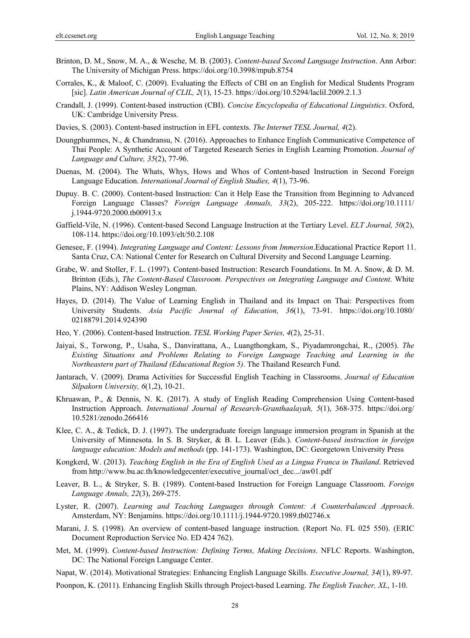- Brinton, D. M., Snow, M. A., & Wesche, M. B. (2003). *Content-based Second Language Instruction*. Ann Arbor: The University of Michigan Press. https://doi.org/10.3998/mpub.8754
- Corrales, K., & Maloof, C. (2009). Evaluating the Effects of CBI on an English for Medical Students Program [sic]. *Latin American Journal of CLIL, 2*(1), 15-23. https://doi.org/10.5294/laclil.2009.2.1.3
- Crandall, J. (1999). Content-based instruction (CBI). *Concise Encyclopedia of Educational Linguistics*. Oxford, UK: Cambridge University Press.
- Davies, S. (2003). Content-based instruction in EFL contexts. *The Internet TESL Journal, 4*(2).
- Doungphummes, N., & Chandransu, N. (2016). Approaches to Enhance English Communicative Competence of Thai People: A Synthetic Account of Targeted Research Series in English Learning Promotion. *Journal of Language and Culture, 35*(2), 77-96.
- Duenas, M. (2004). The Whats, Whys, Hows and Whos of Content-based Instruction in Second Foreign Language Education. *International Journal of English Studies, 4*(1), 73-96.
- Dupuy. B. C. (2000). Content-based Instruction: Can it Help Ease the Transition from Beginning to Advanced Foreign Language Classes? *Foreign Language Annuals, 33*(2), 205-222. https://doi.org/10.1111/ j.1944-9720.2000.tb00913.x
- Gaffield-Vile, N. (1996). Content-based Second Language Instruction at the Tertiary Level. *ELT Journal, 50*(2), 108-114. https://doi.org/10.1093/elt/50.2.108
- Genesee, F. (1994). *Integrating Language and Content: Lessons from Immersion*.Educational Practice Report 11. Santa Cruz, CA: National Center for Research on Cultural Diversity and Second Language Learning.
- Grabe, W. and Stoller, F. L. (1997). Content-based Instruction: Research Foundations. In M. A. Snow, & D. M. Brinton (Eds.), *The Content-Based Classroom. Perspectives on Integrating Language and Content*. White Plains, NY: Addison Wesley Longman.
- Hayes, D. (2014). The Value of Learning English in Thailand and its Impact on Thai: Perspectives from University Students. *Asia Pacific Journal of Education, 36*(1), 73-91. https://doi.org/10.1080/ 02188791.2014.924390
- Heo, Y. (2006). Content-based Instruction. *TESL Working Paper Series, 4*(2), 25-31.
- Jaiyai, S., Torwong, P., Usaha, S., Danvirattana, A., Luangthongkam, S., Piyadamrongchai, R., (2005). *The Existing Situations and Problems Relating to Foreign Language Teaching and Learning in the Northeastern part of Thailand (Educational Region 5)*. The Thailand Research Fund.
- Jantarach, V. (2009). Drama Activities for Successful English Teaching in Classrooms. *Journal of Education Silpakorn University, 6*(1,2), 10-21.
- Khruawan, P., & Dennis, N. K. (2017). A study of English Reading Comprehension Using Content-based Instruction Approach. *International Journal of Research-Granthaalayah, 5*(1), 368-375. https://doi.org/ 10.5281/zenodo.266416
- Klee, C. A., & Tedick, D. J. (1997). The undergraduate foreign language immersion program in Spanish at the University of Minnesota. In S. B. Stryker, & B. L. Leaver (Eds.). *Content-based instruction in foreign language education: Models and methods* (pp. 141-173). Washington, DC: Georgetown University Press
- Kongkerd, W. (2013). *Teaching English in the Era of English Used as a Lingua Franca in Thailand*. Retrieved from http://www.bu.ac.th/knowledgecenter/executive\_journal/oct\_dec.../aw01.pdf
- Leaver, B. L., & Stryker, S. B. (1989). Content-based Instruction for Foreign Language Classroom. *Foreign Language Annals, 22*(3), 269-275.
- Lyster, R. (2007). *Learning and Teaching Languages through Content: A Counterbalanced Approach*. Amsterdam, NY: Benjamins. https://doi.org/10.1111/j.1944-9720.1989.tb02746.x
- Marani, J. S. (1998). An overview of content-based language instruction. (Report No. FL 025 550). (ERIC Document Reproduction Service No. ED 424 762).
- Met, M. (1999). *Content-based Instruction: Defining Terms, Making Decisions*. NFLC Reports. Washington, DC: The National Foreign Language Center.
- Napat, W. (2014). Motivational Strategies: Enhancing English Language Skills. *Executive Journal, 34*(1), 89-97.
- Poonpon, K. (2011). Enhancing English Skills through Project-based Learning. *The English Teacher, XL*, 1-10.